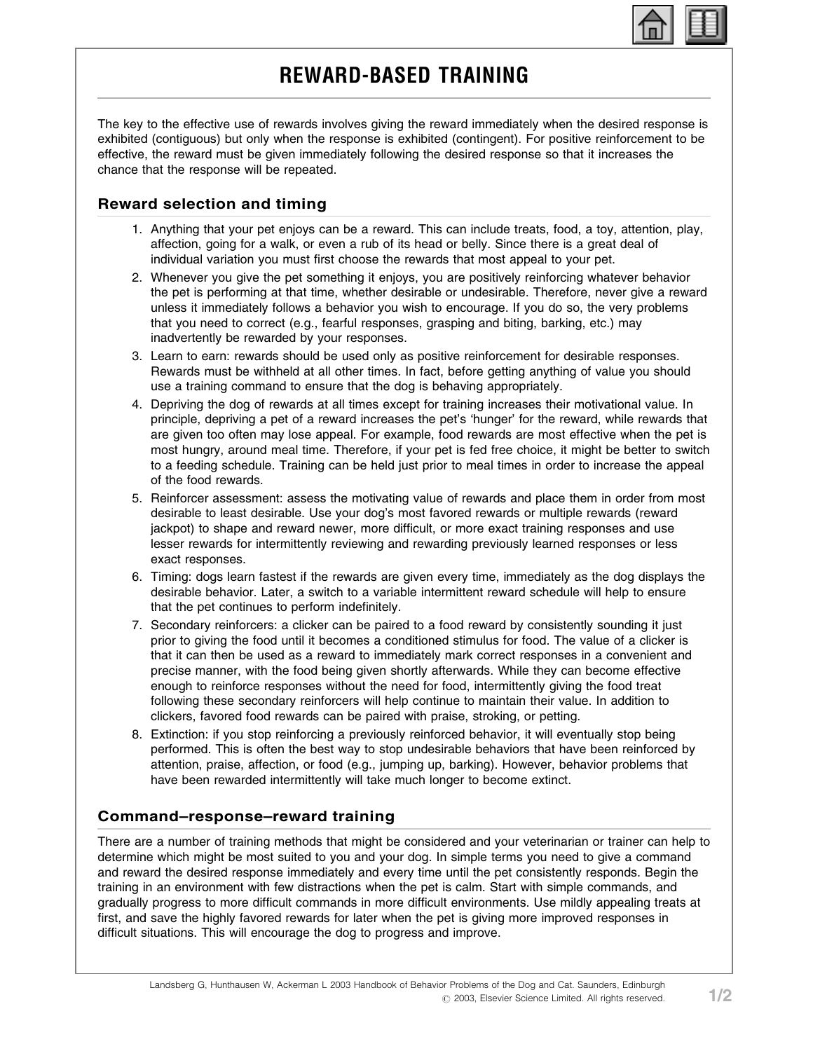

# REWARD-BASED TRAINING

The key to the effective use of rewards involves giving the reward immediately when the desired response is exhibited (contiguous) but only when the response is exhibited (contingent). For positive reinforcement to be effective, the reward must be given immediately following the desired response so that it increases the chance that the response will be repeated.

## Reward selection and timing

- 1. Anything that your pet enjoys can be a reward. This can include treats, food, a toy, attention, play, affection, going for a walk, or even a rub of its head or belly. Since there is a great deal of individual variation you must first choose the rewards that most appeal to your pet.
- 2. Whenever you give the pet something it enjoys, you are positively reinforcing whatever behavior the pet is performing at that time, whether desirable or undesirable. Therefore, never give a reward unless it immediately follows a behavior you wish to encourage. If you do so, the very problems that you need to correct (e.g., fearful responses, grasping and biting, barking, etc.) may inadvertently be rewarded by your responses.
- 3. Learn to earn: rewards should be used only as positive reinforcement for desirable responses. Rewards must be withheld at all other times. In fact, before getting anything of value you should use a training command to ensure that the dog is behaving appropriately.
- 4. Depriving the dog of rewards at all times except for training increases their motivational value. In principle, depriving a pet of a reward increases the pet's 'hunger' for the reward, while rewards that are given too often may lose appeal. For example, food rewards are most effective when the pet is most hungry, around meal time. Therefore, if your pet is fed free choice, it might be better to switch to a feeding schedule. Training can be held just prior to meal times in order to increase the appeal of the food rewards.
- 5. Reinforcer assessment: assess the motivating value of rewards and place them in order from most desirable to least desirable. Use your dog's most favored rewards or multiple rewards (reward jackpot) to shape and reward newer, more difficult, or more exact training responses and use lesser rewards for intermittently reviewing and rewarding previously learned responses or less exact responses.
- 6. Timing: dogs learn fastest if the rewards are given every time, immediately as the dog displays the desirable behavior. Later, a switch to a variable intermittent reward schedule will help to ensure that the pet continues to perform indefinitely.
- 7. Secondary reinforcers: a clicker can be paired to a food reward by consistently sounding it just prior to giving the food until it becomes a conditioned stimulus for food. The value of a clicker is that it can then be used as a reward to immediately mark correct responses in a convenient and precise manner, with the food being given shortly afterwards. While they can become effective enough to reinforce responses without the need for food, intermittently giving the food treat following these secondary reinforcers will help continue to maintain their value. In addition to clickers, favored food rewards can be paired with praise, stroking, or petting.
- 8. Extinction: if you stop reinforcing a previously reinforced behavior, it will eventually stop being performed. This is often the best way to stop undesirable behaviors that have been reinforced by attention, praise, affection, or food (e.g., jumping up, barking). However, behavior problems that have been rewarded intermittently will take much longer to become extinct.

### Command–response–reward training

There are a number of training methods that might be considered and your veterinarian or trainer can help to determine which might be most suited to you and your dog. In simple terms you need to give a command and reward the desired response immediately and every time until the pet consistently responds. Begin the training in an environment with few distractions when the pet is calm. Start with simple commands, and gradually progress to more difficult commands in more difficult environments. Use mildly appealing treats at first, and save the highly favored rewards for later when the pet is giving more improved responses in difficult situations. This will encourage the dog to progress and improve.